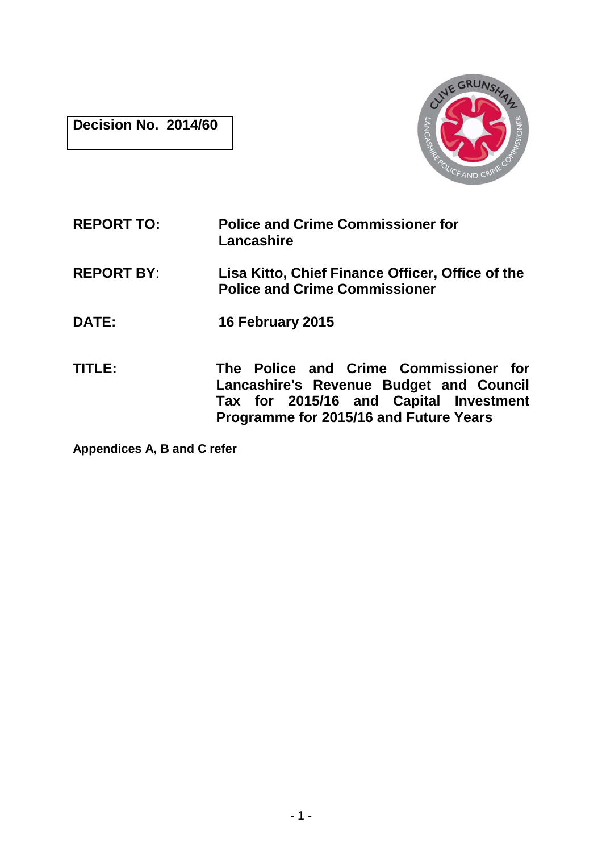**Decision No. 2014/60** 



**REPORT TO: Police and Crime Commissioner for Lancashire REPORT BY**: **Lisa Kitto, Chief Finance Officer, Office of the Police and Crime Commissioner DATE: 16 February 2015 TITLE: The Police and Crime Commissioner for Lancashire's Revenue Budget and Council Tax for 2015/16 and Capital Investment Programme for 2015/16 and Future Years** 

**Appendices A, B and C refer**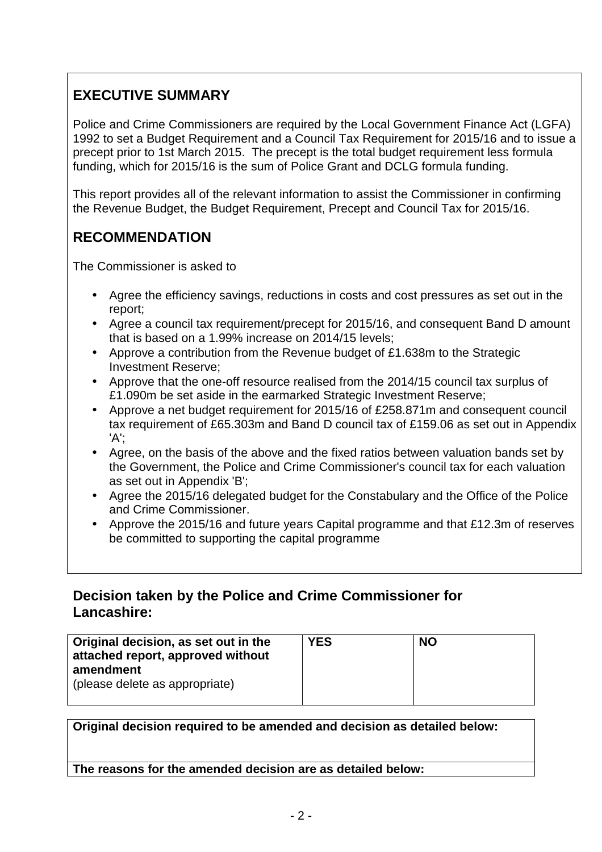# **EXECUTIVE SUMMARY**

Police and Crime Commissioners are required by the Local Government Finance Act (LGFA) 1992 to set a Budget Requirement and a Council Tax Requirement for 2015/16 and to issue a precept prior to 1st March 2015. The precept is the total budget requirement less formula funding, which for 2015/16 is the sum of Police Grant and DCLG formula funding.

This report provides all of the relevant information to assist the Commissioner in confirming the Revenue Budget, the Budget Requirement, Precept and Council Tax for 2015/16.

# **RECOMMENDATION**

The Commissioner is asked to

- Agree the efficiency savings, reductions in costs and cost pressures as set out in the report;
- Agree a council tax requirement/precept for 2015/16, and consequent Band D amount that is based on a 1.99% increase on 2014/15 levels;
- Approve a contribution from the Revenue budget of £1.638m to the Strategic Investment Reserve;
- Approve that the one-off resource realised from the 2014/15 council tax surplus of £1.090m be set aside in the earmarked Strategic Investment Reserve;
- Approve a net budget requirement for 2015/16 of £258.871m and consequent council tax requirement of £65.303m and Band D council tax of £159.06 as set out in Appendix 'A';
- Agree, on the basis of the above and the fixed ratios between valuation bands set by the Government, the Police and Crime Commissioner's council tax for each valuation as set out in Appendix 'B';
- Agree the 2015/16 delegated budget for the Constabulary and the Office of the Police and Crime Commissioner.
- Approve the 2015/16 and future years Capital programme and that £12.3m of reserves be committed to supporting the capital programme

# **Decision taken by the Police and Crime Commissioner for Lancashire:**

| Original decision, as set out in the<br>attached report, approved without<br>amendment<br>(please delete as appropriate) | <b>YES</b> | <b>NO</b> |  |
|--------------------------------------------------------------------------------------------------------------------------|------------|-----------|--|
|                                                                                                                          |            |           |  |

**Original decision required to be amended and decision as detailed below: The reasons for the amended decision are as detailed below:**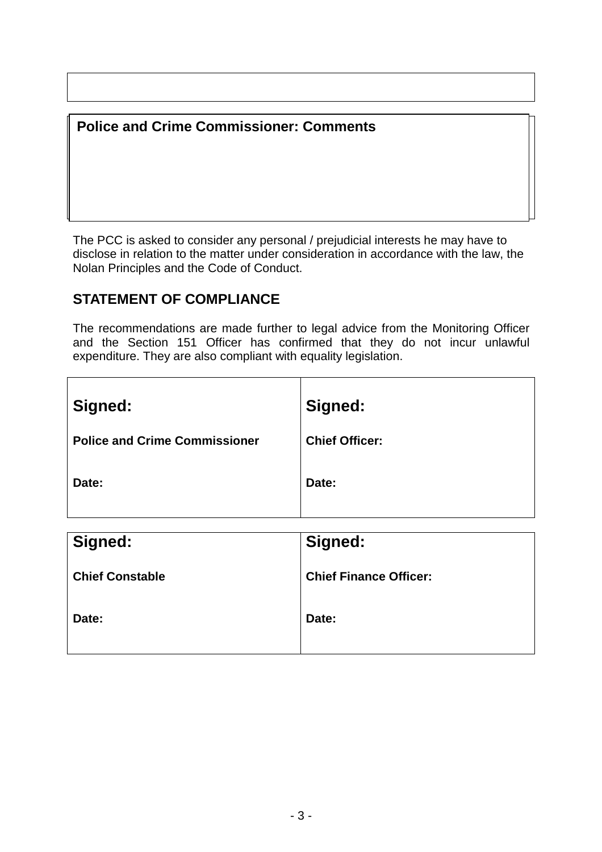# **Police and Crime Commissioner: Comments**

The PCC is asked to consider any personal / prejudicial interests he may have to disclose in relation to the matter under consideration in accordance with the law, the Nolan Principles and the Code of Conduct.

# **STATEMENT OF COMPLIANCE**

The recommendations are made further to legal advice from the Monitoring Officer and the Section 151 Officer has confirmed that they do not incur unlawful expenditure. They are also compliant with equality legislation.

| Signed:                              | Signed:               |
|--------------------------------------|-----------------------|
| <b>Police and Crime Commissioner</b> | <b>Chief Officer:</b> |
| Date:                                | Date:                 |
|                                      |                       |

| Signed:                | Signed:                       |
|------------------------|-------------------------------|
| <b>Chief Constable</b> | <b>Chief Finance Officer:</b> |
| Date:                  | Date:                         |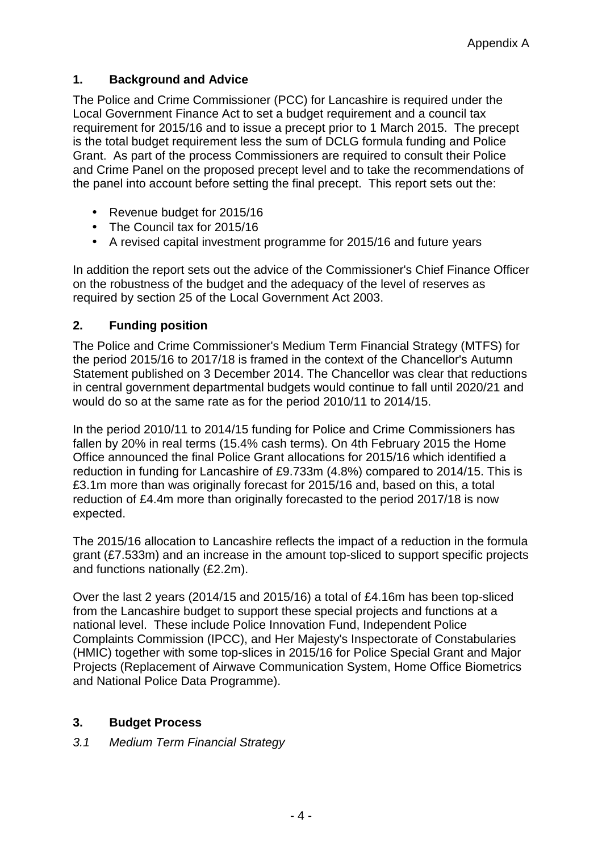#### **1. Background and Advice**

The Police and Crime Commissioner (PCC) for Lancashire is required under the Local Government Finance Act to set a budget requirement and a council tax requirement for 2015/16 and to issue a precept prior to 1 March 2015. The precept is the total budget requirement less the sum of DCLG formula funding and Police Grant. As part of the process Commissioners are required to consult their Police and Crime Panel on the proposed precept level and to take the recommendations of the panel into account before setting the final precept. This report sets out the:

- Revenue budget for 2015/16
- The Council tax for 2015/16
- A revised capital investment programme for 2015/16 and future years

In addition the report sets out the advice of the Commissioner's Chief Finance Officer on the robustness of the budget and the adequacy of the level of reserves as required by section 25 of the Local Government Act 2003.

### **2. Funding position**

The Police and Crime Commissioner's Medium Term Financial Strategy (MTFS) for the period 2015/16 to 2017/18 is framed in the context of the Chancellor's Autumn Statement published on 3 December 2014. The Chancellor was clear that reductions in central government departmental budgets would continue to fall until 2020/21 and would do so at the same rate as for the period 2010/11 to 2014/15.

In the period 2010/11 to 2014/15 funding for Police and Crime Commissioners has fallen by 20% in real terms (15.4% cash terms). On 4th February 2015 the Home Office announced the final Police Grant allocations for 2015/16 which identified a reduction in funding for Lancashire of £9.733m (4.8%) compared to 2014/15. This is £3.1m more than was originally forecast for 2015/16 and, based on this, a total reduction of £4.4m more than originally forecasted to the period 2017/18 is now expected.

The 2015/16 allocation to Lancashire reflects the impact of a reduction in the formula grant (£7.533m) and an increase in the amount top-sliced to support specific projects and functions nationally (£2.2m).

Over the last 2 years (2014/15 and 2015/16) a total of £4.16m has been top-sliced from the Lancashire budget to support these special projects and functions at a national level. These include Police Innovation Fund, Independent Police Complaints Commission (IPCC), and Her Majesty's Inspectorate of Constabularies (HMIC) together with some top-slices in 2015/16 for Police Special Grant and Major Projects (Replacement of Airwave Communication System, Home Office Biometrics and National Police Data Programme).

#### **3. Budget Process**

3.1 Medium Term Financial Strategy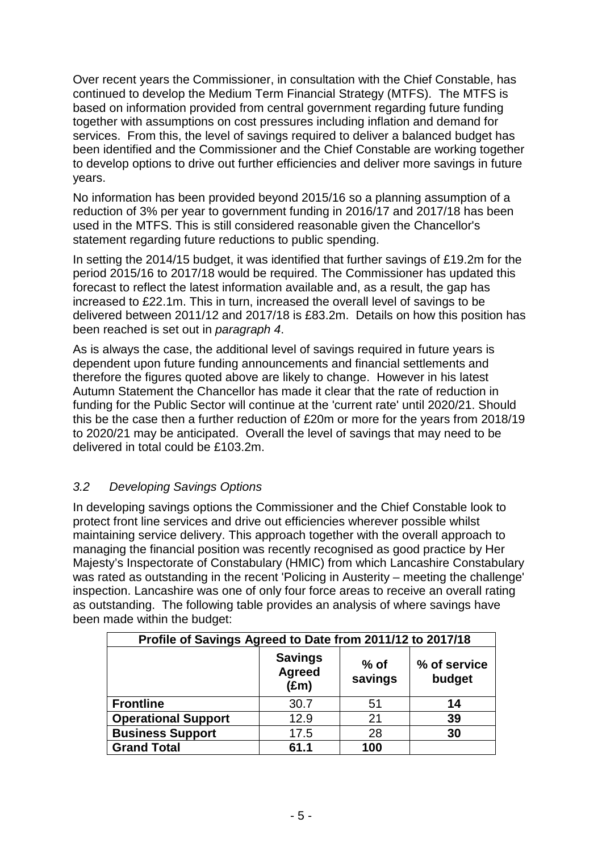Over recent years the Commissioner, in consultation with the Chief Constable, has continued to develop the Medium Term Financial Strategy (MTFS). The MTFS is based on information provided from central government regarding future funding together with assumptions on cost pressures including inflation and demand for services. From this, the level of savings required to deliver a balanced budget has been identified and the Commissioner and the Chief Constable are working together to develop options to drive out further efficiencies and deliver more savings in future years.

No information has been provided beyond 2015/16 so a planning assumption of a reduction of 3% per year to government funding in 2016/17 and 2017/18 has been used in the MTFS. This is still considered reasonable given the Chancellor's statement regarding future reductions to public spending.

In setting the 2014/15 budget, it was identified that further savings of £19.2m for the period 2015/16 to 2017/18 would be required. The Commissioner has updated this forecast to reflect the latest information available and, as a result, the gap has increased to £22.1m. This in turn, increased the overall level of savings to be delivered between 2011/12 and 2017/18 is £83.2m. Details on how this position has been reached is set out in paragraph 4.

As is always the case, the additional level of savings required in future years is dependent upon future funding announcements and financial settlements and therefore the figures quoted above are likely to change. However in his latest Autumn Statement the Chancellor has made it clear that the rate of reduction in funding for the Public Sector will continue at the 'current rate' until 2020/21. Should this be the case then a further reduction of £20m or more for the years from 2018/19 to 2020/21 may be anticipated. Overall the level of savings that may need to be delivered in total could be £103.2m.

#### 3.2 Developing Savings Options

In developing savings options the Commissioner and the Chief Constable look to protect front line services and drive out efficiencies wherever possible whilst maintaining service delivery. This approach together with the overall approach to managing the financial position was recently recognised as good practice by Her Majesty's Inspectorate of Constabulary (HMIC) from which Lancashire Constabulary was rated as outstanding in the recent 'Policing in Austerity – meeting the challenge' inspection. Lancashire was one of only four force areas to receive an overall rating as outstanding. The following table provides an analysis of where savings have been made within the budget:

| Profile of Savings Agreed to Date from 2011/12 to 2017/18 |                                                  |                        |    |  |
|-----------------------------------------------------------|--------------------------------------------------|------------------------|----|--|
|                                                           | <b>Savings</b><br><b>Agreed</b><br>$(\text{Em})$ | % of service<br>budget |    |  |
| <b>Frontline</b>                                          | 30.7                                             | 51                     | 14 |  |
| <b>Operational Support</b>                                | 12.9                                             | 21                     | 39 |  |
| <b>Business Support</b>                                   | 17.5                                             | 28                     | 30 |  |
| <b>Grand Total</b>                                        | 61.1                                             | 100                    |    |  |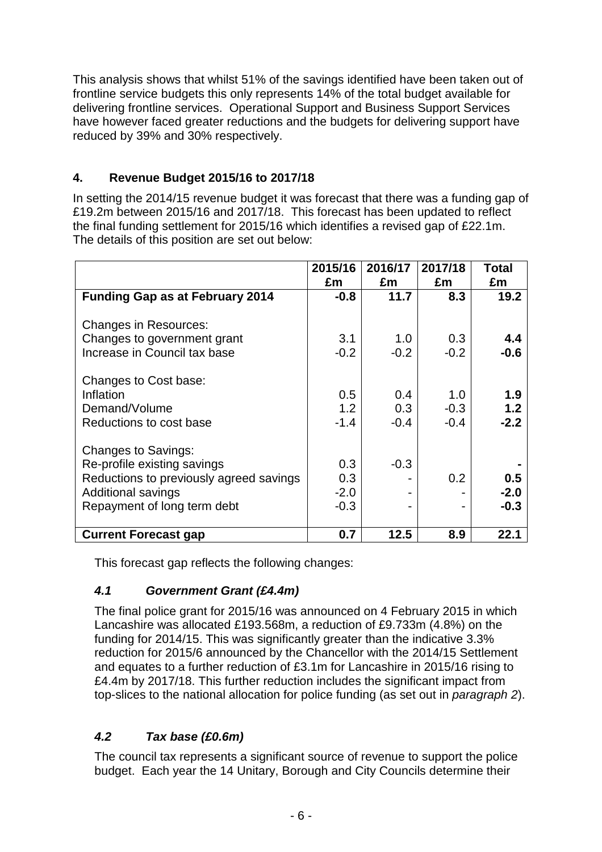This analysis shows that whilst 51% of the savings identified have been taken out of frontline service budgets this only represents 14% of the total budget available for delivering frontline services. Operational Support and Business Support Services have however faced greater reductions and the budgets for delivering support have reduced by 39% and 30% respectively.

### **4. Revenue Budget 2015/16 to 2017/18**

In setting the 2014/15 revenue budget it was forecast that there was a funding gap of £19.2m between 2015/16 and 2017/18. This forecast has been updated to reflect the final funding settlement for 2015/16 which identifies a revised gap of £22.1m. The details of this position are set out below:

|                                         | 2015/16<br>£m | 2016/17<br>£m | 2017/18<br>£m | Total<br>£m |
|-----------------------------------------|---------------|---------------|---------------|-------------|
| <b>Funding Gap as at February 2014</b>  | $-0.8$        | 11.7          | 8.3           | 19.2        |
| <b>Changes in Resources:</b>            |               |               |               |             |
| Changes to government grant             | 3.1           | 1.0           | 0.3           | 4.4         |
| Increase in Council tax base            | $-0.2$        | $-0.2$        | $-0.2$        | $-0.6$      |
| Changes to Cost base:                   |               |               |               |             |
| Inflation                               | 0.5           | 0.4           | 1.0           | 1.9         |
| Demand/Volume                           | 1.2           | 0.3           | $-0.3$        | 1.2         |
| Reductions to cost base                 | $-1.4$        | $-0.4$        | $-0.4$        | $-2.2$      |
| <b>Changes to Savings:</b>              |               |               |               |             |
| Re-profile existing savings             | 0.3           | $-0.3$        |               |             |
| Reductions to previously agreed savings | 0.3           |               | 0.2           | 0.5         |
| <b>Additional savings</b>               | $-2.0$        |               |               | $-2.0$      |
| Repayment of long term debt             | $-0.3$        |               |               | $-0.3$      |
| <b>Current Forecast gap</b>             | 0.7           | 12.5          | 8.9           | 22.1        |

This forecast gap reflects the following changes:

## **4.1 Government Grant (£4.4m)**

The final police grant for 2015/16 was announced on 4 February 2015 in which Lancashire was allocated £193.568m, a reduction of £9.733m (4.8%) on the funding for 2014/15. This was significantly greater than the indicative 3.3% reduction for 2015/6 announced by the Chancellor with the 2014/15 Settlement and equates to a further reduction of £3.1m for Lancashire in 2015/16 rising to £4.4m by 2017/18. This further reduction includes the significant impact from top-slices to the national allocation for police funding (as set out in paragraph 2).

# **4.2 Tax base (£0.6m)**

The council tax represents a significant source of revenue to support the police budget. Each year the 14 Unitary, Borough and City Councils determine their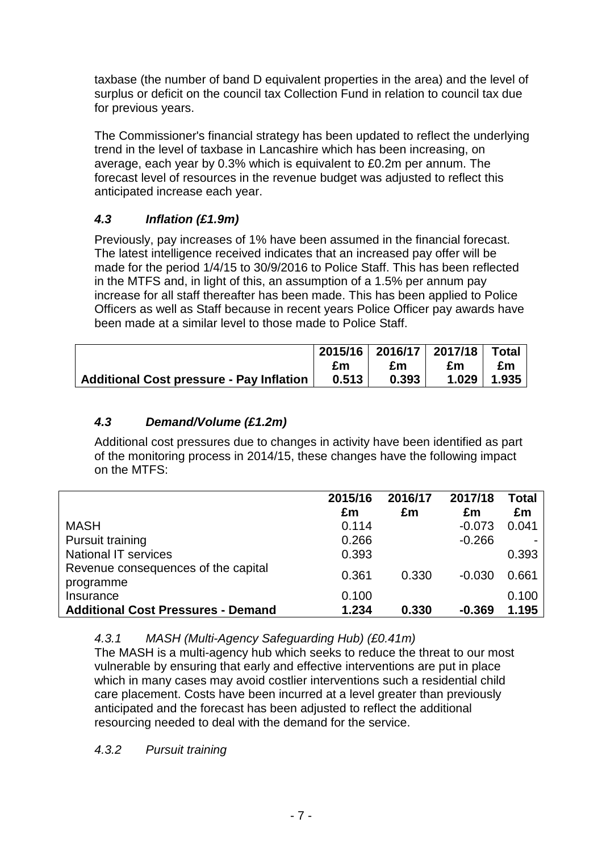taxbase (the number of band D equivalent properties in the area) and the level of surplus or deficit on the council tax Collection Fund in relation to council tax due for previous years.

The Commissioner's financial strategy has been updated to reflect the underlying trend in the level of taxbase in Lancashire which has been increasing, on average, each year by 0.3% which is equivalent to £0.2m per annum. The forecast level of resources in the revenue budget was adjusted to reflect this anticipated increase each year.

# **4.3 Inflation (£1.9m)**

Previously, pay increases of 1% have been assumed in the financial forecast. The latest intelligence received indicates that an increased pay offer will be made for the period 1/4/15 to 30/9/2016 to Police Staff. This has been reflected in the MTFS and, in light of this, an assumption of a 1.5% per annum pay increase for all staff thereafter has been made. This has been applied to Police Officers as well as Staff because in recent years Police Officer pay awards have been made at a similar level to those made to Police Staff.

|                                          |       | 2015/16 2016/17 2017/18 Total |    |                 |
|------------------------------------------|-------|-------------------------------|----|-----------------|
|                                          | £m    | £m                            | £m | £m              |
| Additional Cost pressure - Pay Inflation | 0.513 | 0.393                         |    | $1.029$   1.935 |

### **4.3 Demand/Volume (£1.2m)**

Additional cost pressures due to changes in activity have been identified as part of the monitoring process in 2014/15, these changes have the following impact on the MTFS:

|                                                  | 2015/16 | 2016/17 | 2017/18  | Total |
|--------------------------------------------------|---------|---------|----------|-------|
|                                                  | £m      | £m      | £m       | £m    |
| <b>MASH</b>                                      | 0.114   |         | $-0.073$ | 0.041 |
| <b>Pursuit training</b>                          | 0.266   |         | $-0.266$ |       |
| <b>National IT services</b>                      | 0.393   |         |          | 0.393 |
| Revenue consequences of the capital<br>programme | 0.361   | 0.330   | $-0.030$ | 0.661 |
| Insurance                                        | 0.100   |         |          | 0.100 |
| <b>Additional Cost Pressures - Demand</b>        | 1.234   | 0.330   | $-0.369$ | 1.195 |

4.3.1 MASH (Multi-Agency Safeguarding Hub) (£0.41m)

The MASH is a multi-agency hub which seeks to reduce the threat to our most vulnerable by ensuring that early and effective interventions are put in place which in many cases may avoid costlier interventions such a residential child care placement. Costs have been incurred at a level greater than previously anticipated and the forecast has been adjusted to reflect the additional resourcing needed to deal with the demand for the service.

4.3.2 Pursuit training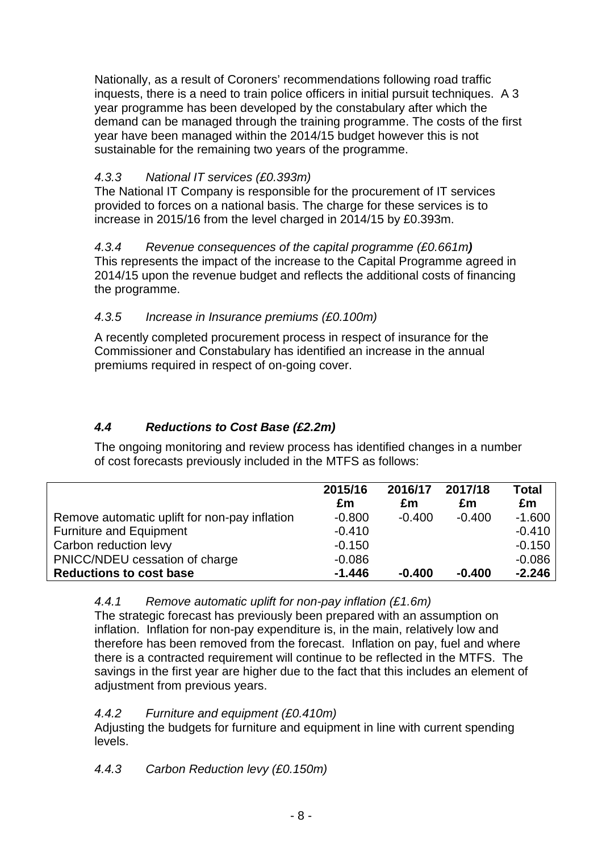Nationally, as a result of Coroners' recommendations following road traffic inquests, there is a need to train police officers in initial pursuit techniques. A 3 year programme has been developed by the constabulary after which the demand can be managed through the training programme. The costs of the first year have been managed within the 2014/15 budget however this is not sustainable for the remaining two years of the programme.

## 4.3.3 National IT services (£0.393m)

The National IT Company is responsible for the procurement of IT services provided to forces on a national basis. The charge for these services is to increase in 2015/16 from the level charged in 2014/15 by £0.393m.

4.3.4 Revenue consequences of the capital programme (£0.661m**)** This represents the impact of the increase to the Capital Programme agreed in 2014/15 upon the revenue budget and reflects the additional costs of financing the programme.

### 4.3.5 Increase in Insurance premiums (£0.100m)

A recently completed procurement process in respect of insurance for the Commissioner and Constabulary has identified an increase in the annual premiums required in respect of on-going cover.

# **4.4 Reductions to Cost Base (£2.2m)**

The ongoing monitoring and review process has identified changes in a number of cost forecasts previously included in the MTFS as follows:

|                                               | 2015/16<br>£m | 2016/17<br>£m | 2017/18<br>£m | <b>Total</b><br>£m |
|-----------------------------------------------|---------------|---------------|---------------|--------------------|
| Remove automatic uplift for non-pay inflation | $-0.800$      | $-0.400$      | $-0.400$      | $-1.600$           |
| <b>Furniture and Equipment</b>                | $-0.410$      |               |               | $-0.410$           |
| Carbon reduction levy                         | $-0.150$      |               |               | $-0.150$           |
| PNICC/NDEU cessation of charge                | $-0.086$      |               |               | $-0.086$           |
| <b>Reductions to cost base</b>                | $-1.446$      | $-0.400$      | $-0.400$      | $-2.246$           |

#### 4.4.1 Remove automatic uplift for non-pay inflation (£1.6m)

The strategic forecast has previously been prepared with an assumption on inflation. Inflation for non-pay expenditure is, in the main, relatively low and therefore has been removed from the forecast. Inflation on pay, fuel and where there is a contracted requirement will continue to be reflected in the MTFS. The savings in the first year are higher due to the fact that this includes an element of adjustment from previous years.

#### 4.4.2 Furniture and equipment (£0.410m)

Adjusting the budgets for furniture and equipment in line with current spending levels.

## 4.4.3 Carbon Reduction levy (£0.150m)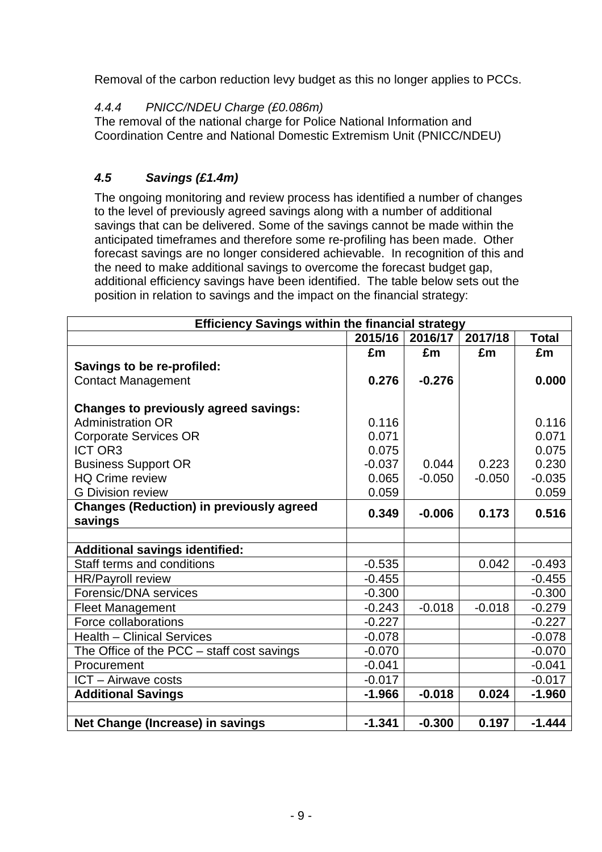Removal of the carbon reduction levy budget as this no longer applies to PCCs.

## 4.4.4 PNICC/NDEU Charge (£0.086m)

The removal of the national charge for Police National Information and Coordination Centre and National Domestic Extremism Unit (PNICC/NDEU)

# **4.5 Savings (£1.4m)**

The ongoing monitoring and review process has identified a number of changes to the level of previously agreed savings along with a number of additional savings that can be delivered. Some of the savings cannot be made within the anticipated timeframes and therefore some re-profiling has been made. Other forecast savings are no longer considered achievable. In recognition of this and the need to make additional savings to overcome the forecast budget gap, additional efficiency savings have been identified. The table below sets out the position in relation to savings and the impact on the financial strategy:

| <b>Efficiency Savings within the financial strategy</b> |          |          |          |              |
|---------------------------------------------------------|----------|----------|----------|--------------|
|                                                         | 2015/16  | 2016/17  | 2017/18  | <b>Total</b> |
|                                                         | £m       | £m       | £m       | £m           |
| Savings to be re-profiled:                              |          |          |          |              |
| <b>Contact Management</b>                               | 0.276    | $-0.276$ |          | 0.000        |
|                                                         |          |          |          |              |
| <b>Changes to previously agreed savings:</b>            |          |          |          |              |
| <b>Administration OR</b>                                | 0.116    |          |          | 0.116        |
| <b>Corporate Services OR</b>                            | 0.071    |          |          | 0.071        |
| <b>ICT OR3</b>                                          | 0.075    |          |          | 0.075        |
| <b>Business Support OR</b>                              | $-0.037$ | 0.044    | 0.223    | 0.230        |
| <b>HQ Crime review</b>                                  | 0.065    | $-0.050$ | $-0.050$ | $-0.035$     |
| <b>G</b> Division review                                | 0.059    |          |          | 0.059        |
| <b>Changes (Reduction) in previously agreed</b>         | 0.349    | $-0.006$ | 0.173    | 0.516        |
| savings                                                 |          |          |          |              |
|                                                         |          |          |          |              |
| <b>Additional savings identified:</b>                   |          |          |          |              |
| Staff terms and conditions                              | $-0.535$ |          | 0.042    | $-0.493$     |
| <b>HR/Payroll review</b>                                | $-0.455$ |          |          | $-0.455$     |
| Forensic/DNA services                                   | $-0.300$ |          |          | $-0.300$     |
| <b>Fleet Management</b>                                 | $-0.243$ | $-0.018$ | $-0.018$ | $-0.279$     |
| Force collaborations                                    | $-0.227$ |          |          | $-0.227$     |
| <b>Health - Clinical Services</b>                       | $-0.078$ |          |          | $-0.078$     |
| The Office of the PCC - staff cost savings              | $-0.070$ |          |          | $-0.070$     |
| Procurement                                             | $-0.041$ |          |          | $-0.041$     |
| ICT - Airwave costs                                     | $-0.017$ |          |          | $-0.017$     |
| <b>Additional Savings</b>                               | $-1.966$ | $-0.018$ | 0.024    | $-1.960$     |
|                                                         |          |          |          |              |
| Net Change (Increase) in savings                        | $-1.341$ | $-0.300$ | 0.197    | $-1.444$     |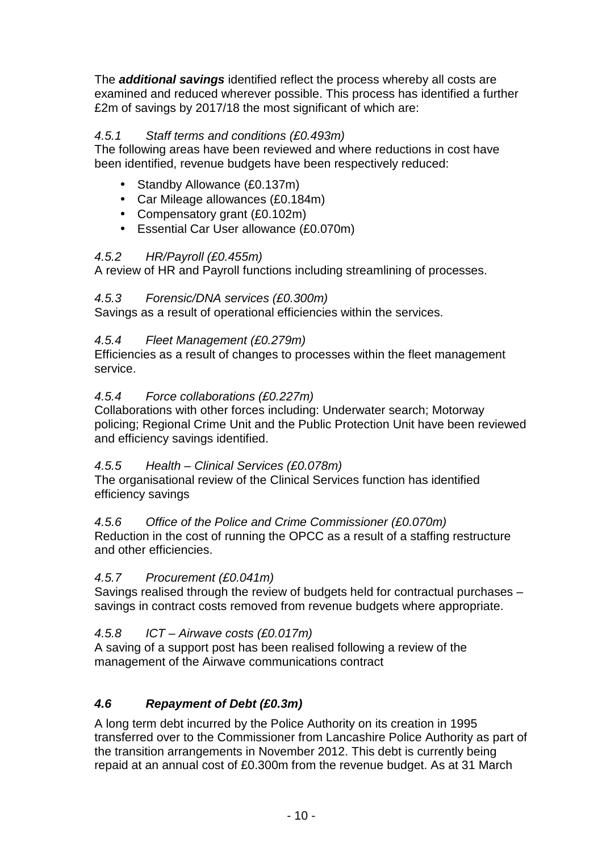The **additional savings** identified reflect the process whereby all costs are examined and reduced wherever possible. This process has identified a further £2m of savings by 2017/18 the most significant of which are:

### 4.5.1 Staff terms and conditions (£0.493m)

The following areas have been reviewed and where reductions in cost have been identified, revenue budgets have been respectively reduced:

- Standby Allowance (£0.137m)
- Car Mileage allowances (£0.184m)
- Compensatory grant (£0.102m)
- Essential Car User allowance (£0.070m)

#### 4.5.2 HR/Payroll (£0.455m)

A review of HR and Payroll functions including streamlining of processes.

### 4.5.3 Forensic/DNA services (£0.300m)

Savings as a result of operational efficiencies within the services.

#### 4.5.4 Fleet Management (£0.279m)

Efficiencies as a result of changes to processes within the fleet management service.

#### 4.5.4 Force collaborations (£0.227m)

Collaborations with other forces including: Underwater search; Motorway policing; Regional Crime Unit and the Public Protection Unit have been reviewed and efficiency savings identified.

#### 4.5.5 Health – Clinical Services (£0.078m)

The organisational review of the Clinical Services function has identified efficiency savings

#### 4.5.6 Office of the Police and Crime Commissioner (£0.070m)

Reduction in the cost of running the OPCC as a result of a staffing restructure and other efficiencies.

#### 4.5.7 Procurement (£0.041m)

Savings realised through the review of budgets held for contractual purchases – savings in contract costs removed from revenue budgets where appropriate.

#### 4.5.8 ICT – Airwave costs (£0.017m)

A saving of a support post has been realised following a review of the management of the Airwave communications contract

## **4.6 Repayment of Debt (£0.3m)**

A long term debt incurred by the Police Authority on its creation in 1995 transferred over to the Commissioner from Lancashire Police Authority as part of the transition arrangements in November 2012. This debt is currently being repaid at an annual cost of £0.300m from the revenue budget. As at 31 March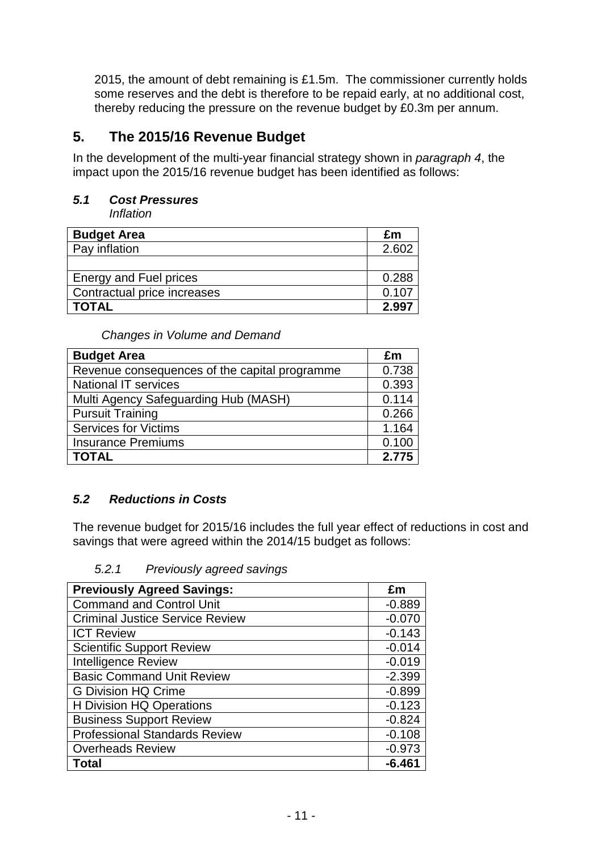2015, the amount of debt remaining is £1.5m. The commissioner currently holds some reserves and the debt is therefore to be repaid early, at no additional cost, thereby reducing the pressure on the revenue budget by £0.3m per annum.

# **5. The 2015/16 Revenue Budget**

In the development of the multi-year financial strategy shown in paragraph 4, the impact upon the 2015/16 revenue budget has been identified as follows:

### **5.1 Cost Pressures**

Inflation

| <b>Budget Area</b>            | £m    |
|-------------------------------|-------|
| Pay inflation                 | 2.602 |
|                               |       |
| <b>Energy and Fuel prices</b> | 0.288 |
| Contractual price increases   | 0.107 |
| TOTAL                         | 2.997 |

Changes in Volume and Demand

| <b>Budget Area</b>                            | £m    |
|-----------------------------------------------|-------|
| Revenue consequences of the capital programme | 0.738 |
| <b>National IT services</b>                   | 0.393 |
| Multi Agency Safeguarding Hub (MASH)          | 0.114 |
| <b>Pursuit Training</b>                       | 0.266 |
| <b>Services for Victims</b>                   | 1.164 |
| <b>Insurance Premiums</b>                     | 0.100 |
| <b>TOTAL</b>                                  | 2.775 |

## **5.2 Reductions in Costs**

The revenue budget for 2015/16 includes the full year effect of reductions in cost and savings that were agreed within the 2014/15 budget as follows:

5.2.1 Previously agreed savings

| <b>Previously Agreed Savings:</b>      | £m       |
|----------------------------------------|----------|
| <b>Command and Control Unit</b>        | $-0.889$ |
| <b>Criminal Justice Service Review</b> | $-0.070$ |
| <b>ICT Review</b>                      | $-0.143$ |
| <b>Scientific Support Review</b>       | $-0.014$ |
| <b>Intelligence Review</b>             | $-0.019$ |
| <b>Basic Command Unit Review</b>       | $-2.399$ |
| <b>G Division HQ Crime</b>             | $-0.899$ |
| <b>H</b> Division HQ Operations        | $-0.123$ |
| <b>Business Support Review</b>         | $-0.824$ |
| <b>Professional Standards Review</b>   | $-0.108$ |
| <b>Overheads Review</b>                | $-0.973$ |
| <b>Total</b>                           | $-6.461$ |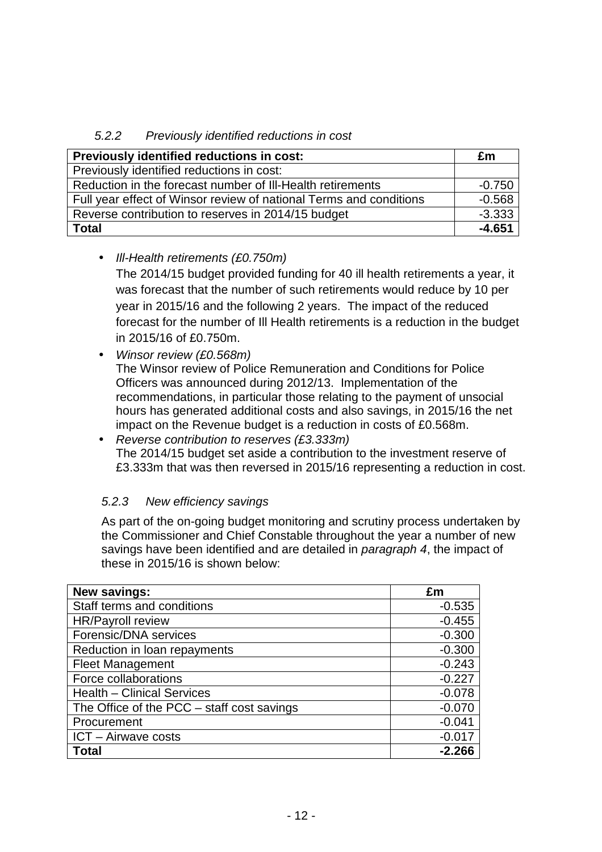### 5.2.2 Previously identified reductions in cost

| Previously identified reductions in cost:                          | £m       |
|--------------------------------------------------------------------|----------|
| Previously identified reductions in cost:                          |          |
| Reduction in the forecast number of III-Health retirements         | $-0.750$ |
| Full year effect of Winsor review of national Terms and conditions | $-0.568$ |
| Reverse contribution to reserves in 2014/15 budget                 | $-3.333$ |
| <b>Total</b>                                                       | $-4.651$ |

#### • III-Health retirements (£0.750m)

The 2014/15 budget provided funding for 40 ill health retirements a year, it was forecast that the number of such retirements would reduce by 10 per year in 2015/16 and the following 2 years. The impact of the reduced forecast for the number of Ill Health retirements is a reduction in the budget in 2015/16 of £0.750m.

• Winsor review (£0.568m)

The Winsor review of Police Remuneration and Conditions for Police Officers was announced during 2012/13. Implementation of the recommendations, in particular those relating to the payment of unsocial hours has generated additional costs and also savings, in 2015/16 the net impact on the Revenue budget is a reduction in costs of £0.568m.

• Reverse contribution to reserves (£3.333m) The 2014/15 budget set aside a contribution to the investment reserve of £3.333m that was then reversed in 2015/16 representing a reduction in cost.

#### 5.2.3 New efficiency savings

As part of the on-going budget monitoring and scrutiny process undertaken by the Commissioner and Chief Constable throughout the year a number of new savings have been identified and are detailed in *paragraph 4*, the impact of these in 2015/16 is shown below:

| <b>New savings:</b>                        | £m       |
|--------------------------------------------|----------|
| Staff terms and conditions                 | $-0.535$ |
| <b>HR/Payroll review</b>                   | $-0.455$ |
| Forensic/DNA services                      | $-0.300$ |
| Reduction in loan repayments               | $-0.300$ |
| <b>Fleet Management</b>                    | $-0.243$ |
| Force collaborations                       | $-0.227$ |
| <b>Health - Clinical Services</b>          | $-0.078$ |
| The Office of the PCC – staff cost savings | $-0.070$ |
| Procurement                                | $-0.041$ |
| ICT - Airwave costs                        | $-0.017$ |
| Total                                      | $-2.266$ |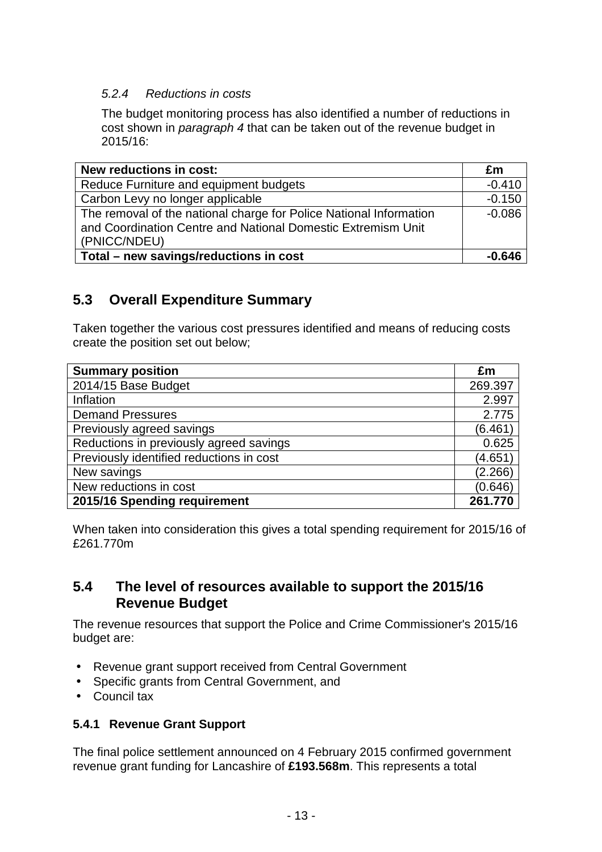#### 5.2.4 Reductions in costs

The budget monitoring process has also identified a number of reductions in cost shown in paragraph 4 that can be taken out of the revenue budget in 2015/16:

| New reductions in cost:                                                                                                                            | £m       |
|----------------------------------------------------------------------------------------------------------------------------------------------------|----------|
| Reduce Furniture and equipment budgets                                                                                                             | $-0.410$ |
| Carbon Levy no longer applicable                                                                                                                   | $-0.150$ |
| The removal of the national charge for Police National Information<br>and Coordination Centre and National Domestic Extremism Unit<br>(PNICC/NDEU) | $-0.086$ |
| Total - new savings/reductions in cost                                                                                                             | $-0.646$ |

# **5.3 Overall Expenditure Summary**

Taken together the various cost pressures identified and means of reducing costs create the position set out below;

| <b>Summary position</b>                  | £m      |
|------------------------------------------|---------|
| 2014/15 Base Budget                      | 269.397 |
| Inflation                                | 2.997   |
| <b>Demand Pressures</b>                  | 2.775   |
| Previously agreed savings                | (6.461) |
| Reductions in previously agreed savings  | 0.625   |
| Previously identified reductions in cost | (4.651) |
| New savings                              | (2.266) |
| New reductions in cost                   | (0.646) |
| 2015/16 Spending requirement             | 261.770 |

When taken into consideration this gives a total spending requirement for 2015/16 of £261.770m

## **5.4 The level of resources available to support the 2015/16 Revenue Budget**

The revenue resources that support the Police and Crime Commissioner's 2015/16 budget are:

- Revenue grant support received from Central Government
- Specific grants from Central Government, and
- Council tax

#### **5.4.1 Revenue Grant Support**

The final police settlement announced on 4 February 2015 confirmed government revenue grant funding for Lancashire of **£193.568m**. This represents a total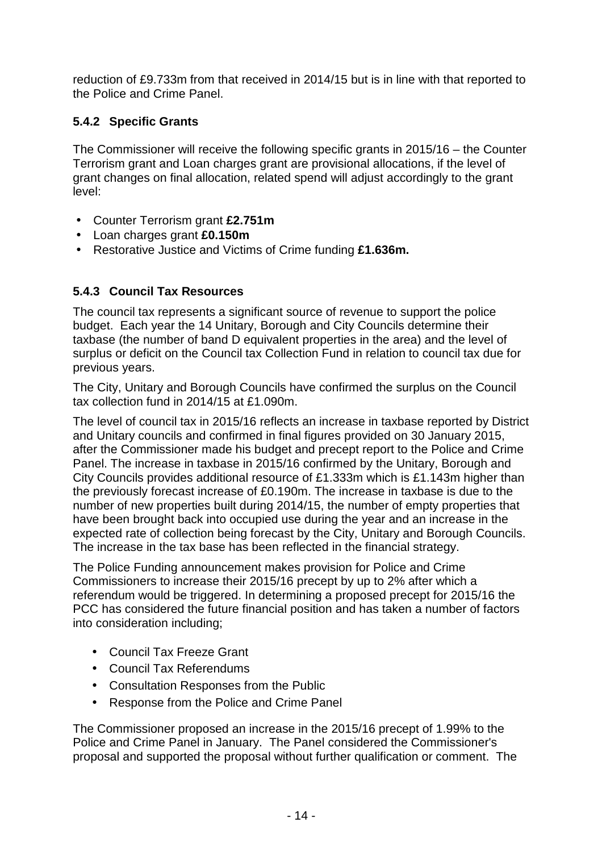reduction of £9.733m from that received in 2014/15 but is in line with that reported to the Police and Crime Panel.

# **5.4.2 Specific Grants**

The Commissioner will receive the following specific grants in 2015/16 – the Counter Terrorism grant and Loan charges grant are provisional allocations, if the level of grant changes on final allocation, related spend will adjust accordingly to the grant level:

- Counter Terrorism grant **£2.751m**
- Loan charges grant **£0.150m**
- Restorative Justice and Victims of Crime funding **£1.636m.**

# **5.4.3 Council Tax Resources**

The council tax represents a significant source of revenue to support the police budget. Each year the 14 Unitary, Borough and City Councils determine their taxbase (the number of band D equivalent properties in the area) and the level of surplus or deficit on the Council tax Collection Fund in relation to council tax due for previous years.

The City, Unitary and Borough Councils have confirmed the surplus on the Council tax collection fund in 2014/15 at £1.090m.

The level of council tax in 2015/16 reflects an increase in taxbase reported by District and Unitary councils and confirmed in final figures provided on 30 January 2015, after the Commissioner made his budget and precept report to the Police and Crime Panel. The increase in taxbase in 2015/16 confirmed by the Unitary, Borough and City Councils provides additional resource of £1.333m which is £1.143m higher than the previously forecast increase of £0.190m. The increase in taxbase is due to the number of new properties built during 2014/15, the number of empty properties that have been brought back into occupied use during the year and an increase in the expected rate of collection being forecast by the City, Unitary and Borough Councils. The increase in the tax base has been reflected in the financial strategy.

The Police Funding announcement makes provision for Police and Crime Commissioners to increase their 2015/16 precept by up to 2% after which a referendum would be triggered. In determining a proposed precept for 2015/16 the PCC has considered the future financial position and has taken a number of factors into consideration including;

- Council Tax Freeze Grant
- Council Tax Referendums
- Consultation Responses from the Public
- Response from the Police and Crime Panel

The Commissioner proposed an increase in the 2015/16 precept of 1.99% to the Police and Crime Panel in January. The Panel considered the Commissioner's proposal and supported the proposal without further qualification or comment. The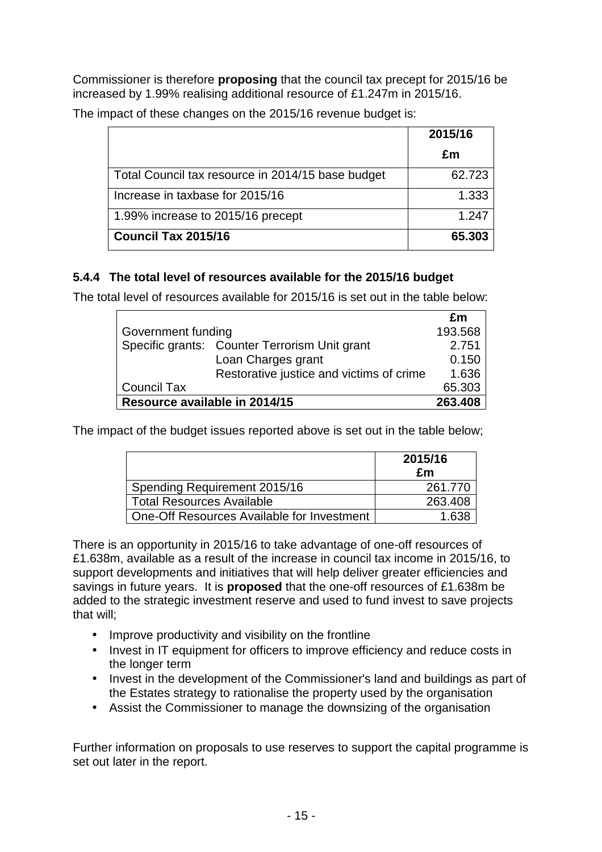Commissioner is therefore **proposing** that the council tax precept for 2015/16 be increased by 1.99% realising additional resource of £1.247m in 2015/16.

|                                                   | 2015/16 |
|---------------------------------------------------|---------|
|                                                   | £m      |
| Total Council tax resource in 2014/15 base budget | 62.723  |
| Increase in taxbase for 2015/16                   | 1.333   |
| 1.99% increase to 2015/16 precept                 | 1.247   |
| Council Tax 2015/16                               | 65.303  |

The impact of these changes on the 2015/16 revenue budget is:

#### **5.4.4 The total level of resources available for the 2015/16 budget**

The total level of resources available for 2015/16 is set out in the table below:

|                               |                                               | £m      |
|-------------------------------|-----------------------------------------------|---------|
| Government funding            |                                               | 193.568 |
|                               | Specific grants: Counter Terrorism Unit grant | 2.751   |
|                               | Loan Charges grant                            | 0.150   |
|                               | Restorative justice and victims of crime      | 1.636   |
| <b>Council Tax</b>            |                                               | 65.303  |
| Resource available in 2014/15 |                                               | 263,408 |

The impact of the budget issues reported above is set out in the table below;

|                                            | 2015/16<br>£m |
|--------------------------------------------|---------------|
| Spending Requirement 2015/16               | 261.770       |
| <b>Total Resources Available</b>           | 263.408       |
| One-Off Resources Available for Investment |               |

There is an opportunity in 2015/16 to take advantage of one-off resources of £1.638m, available as a result of the increase in council tax income in 2015/16, to support developments and initiatives that will help deliver greater efficiencies and savings in future years. It is **proposed** that the one-off resources of £1.638m be added to the strategic investment reserve and used to fund invest to save projects that will;

- Improve productivity and visibility on the frontline
- Invest in IT equipment for officers to improve efficiency and reduce costs in the longer term
- Invest in the development of the Commissioner's land and buildings as part of the Estates strategy to rationalise the property used by the organisation
- Assist the Commissioner to manage the downsizing of the organisation

Further information on proposals to use reserves to support the capital programme is set out later in the report.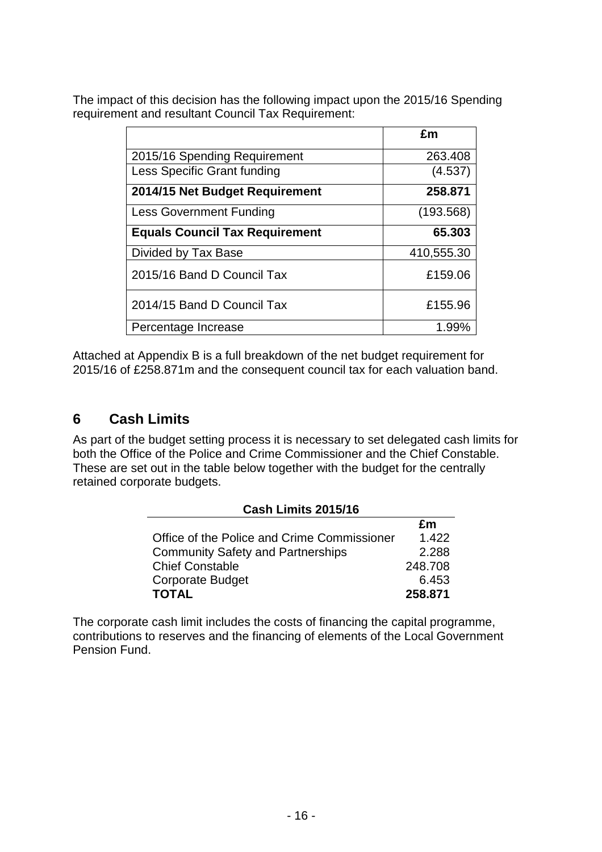The impact of this decision has the following impact upon the 2015/16 Spending requirement and resultant Council Tax Requirement:

|                                       | £m         |
|---------------------------------------|------------|
| 2015/16 Spending Requirement          | 263.408    |
| Less Specific Grant funding           | (4.537)    |
| 2014/15 Net Budget Requirement        | 258.871    |
| <b>Less Government Funding</b>        | (193.568)  |
| <b>Equals Council Tax Requirement</b> | 65,303     |
| Divided by Tax Base                   | 410,555.30 |
| 2015/16 Band D Council Tax            | £159.06    |
| 2014/15 Band D Council Tax            | £155.96    |
| Percentage Increase                   | 1.99%      |

Attached at Appendix B is a full breakdown of the net budget requirement for 2015/16 of £258.871m and the consequent council tax for each valuation band.

# **6 Cash Limits**

As part of the budget setting process it is necessary to set delegated cash limits for both the Office of the Police and Crime Commissioner and the Chief Constable. These are set out in the table below together with the budget for the centrally retained corporate budgets.

| <b>Cash Limits 2015/16</b>                  |         |  |  |
|---------------------------------------------|---------|--|--|
|                                             | £m      |  |  |
| Office of the Police and Crime Commissioner | 1.422   |  |  |
| <b>Community Safety and Partnerships</b>    | 2.288   |  |  |
| <b>Chief Constable</b>                      | 248.708 |  |  |
| <b>Corporate Budget</b>                     | 6.453   |  |  |
| <b>TOTAL</b>                                | 258.871 |  |  |

The corporate cash limit includes the costs of financing the capital programme, contributions to reserves and the financing of elements of the Local Government Pension Fund.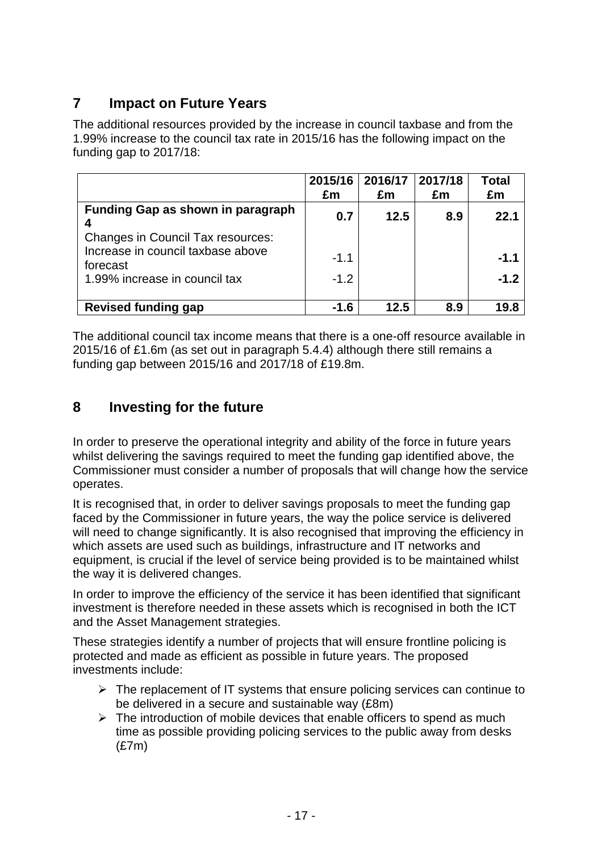# **7 Impact on Future Years**

The additional resources provided by the increase in council taxbase and from the 1.99% increase to the council tax rate in 2015/16 has the following impact on the funding gap to 2017/18:

|                                                                                                                            | 2015/16<br>£m    | 2016/17<br>£m | 2017/18<br>£m | Total<br>£m      |
|----------------------------------------------------------------------------------------------------------------------------|------------------|---------------|---------------|------------------|
| <b>Funding Gap as shown in paragraph</b>                                                                                   | 0.7              | 12.5          | 8.9           | 22.1             |
| <b>Changes in Council Tax resources:</b><br>Increase in council taxbase above<br>forecast<br>1.99% increase in council tax | $-1.1$<br>$-1.2$ |               |               | $-1.1$<br>$-1.2$ |
| <b>Revised funding gap</b>                                                                                                 | $-1.6$           | 12.5          | 8.9           | 19.8             |

The additional council tax income means that there is a one-off resource available in 2015/16 of £1.6m (as set out in paragraph 5.4.4) although there still remains a funding gap between 2015/16 and 2017/18 of £19.8m.

# **8 Investing for the future**

In order to preserve the operational integrity and ability of the force in future years whilst delivering the savings required to meet the funding gap identified above, the Commissioner must consider a number of proposals that will change how the service operates.

It is recognised that, in order to deliver savings proposals to meet the funding gap faced by the Commissioner in future years, the way the police service is delivered will need to change significantly. It is also recognised that improving the efficiency in which assets are used such as buildings, infrastructure and IT networks and equipment, is crucial if the level of service being provided is to be maintained whilst the way it is delivered changes.

In order to improve the efficiency of the service it has been identified that significant investment is therefore needed in these assets which is recognised in both the ICT and the Asset Management strategies.

These strategies identify a number of projects that will ensure frontline policing is protected and made as efficient as possible in future years. The proposed investments include:

- $\triangleright$  The replacement of IT systems that ensure policing services can continue to be delivered in a secure and sustainable way (£8m)
- $\triangleright$  The introduction of mobile devices that enable officers to spend as much time as possible providing policing services to the public away from desks (£7m)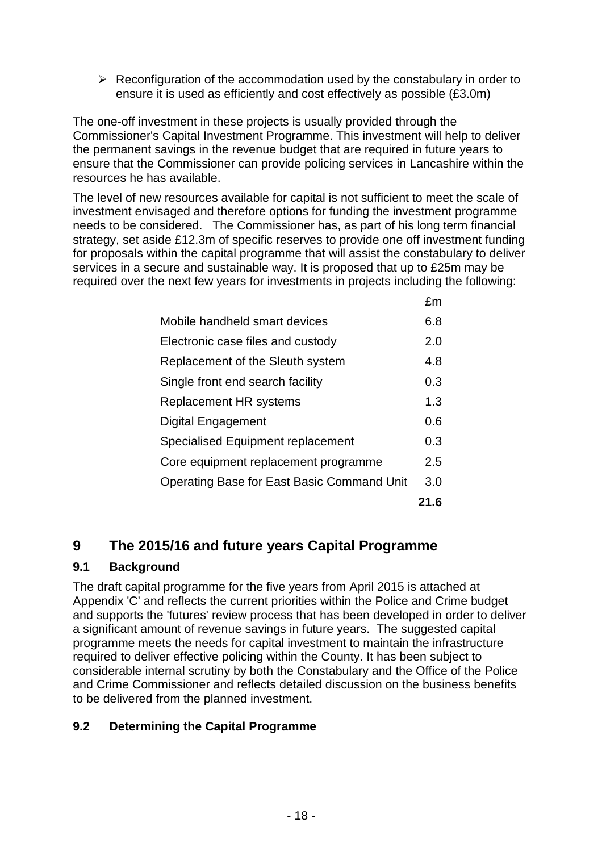$\triangleright$  Reconfiguration of the accommodation used by the constabulary in order to ensure it is used as efficiently and cost effectively as possible (£3.0m)

The one-off investment in these projects is usually provided through the Commissioner's Capital Investment Programme. This investment will help to deliver the permanent savings in the revenue budget that are required in future years to ensure that the Commissioner can provide policing services in Lancashire within the resources he has available.

The level of new resources available for capital is not sufficient to meet the scale of investment envisaged and therefore options for funding the investment programme needs to be considered. The Commissioner has, as part of his long term financial strategy, set aside £12.3m of specific reserves to provide one off investment funding for proposals within the capital programme that will assist the constabulary to deliver services in a secure and sustainable way. It is proposed that up to £25m may be required over the next few years for investments in projects including the following:

|                                            | 21.6 |
|--------------------------------------------|------|
| Operating Base for East Basic Command Unit | 3.0  |
| Core equipment replacement programme       | 2.5  |
| Specialised Equipment replacement          | 0.3  |
| Digital Engagement                         | 0.6  |
| <b>Replacement HR systems</b>              | 1.3  |
| Single front end search facility           | 0.3  |
| Replacement of the Sleuth system           | 4.8  |
| Electronic case files and custody          | 2.0  |
| Mobile handheld smart devices              | 6.8  |
|                                            | £m   |

# **9 The 2015/16 and future years Capital Programme**

## **9.1 Background**

The draft capital programme for the five years from April 2015 is attached at Appendix 'C' and reflects the current priorities within the Police and Crime budget and supports the 'futures' review process that has been developed in order to deliver a significant amount of revenue savings in future years. The suggested capital programme meets the needs for capital investment to maintain the infrastructure required to deliver effective policing within the County. It has been subject to considerable internal scrutiny by both the Constabulary and the Office of the Police and Crime Commissioner and reflects detailed discussion on the business benefits to be delivered from the planned investment.

## **9.2 Determining the Capital Programme**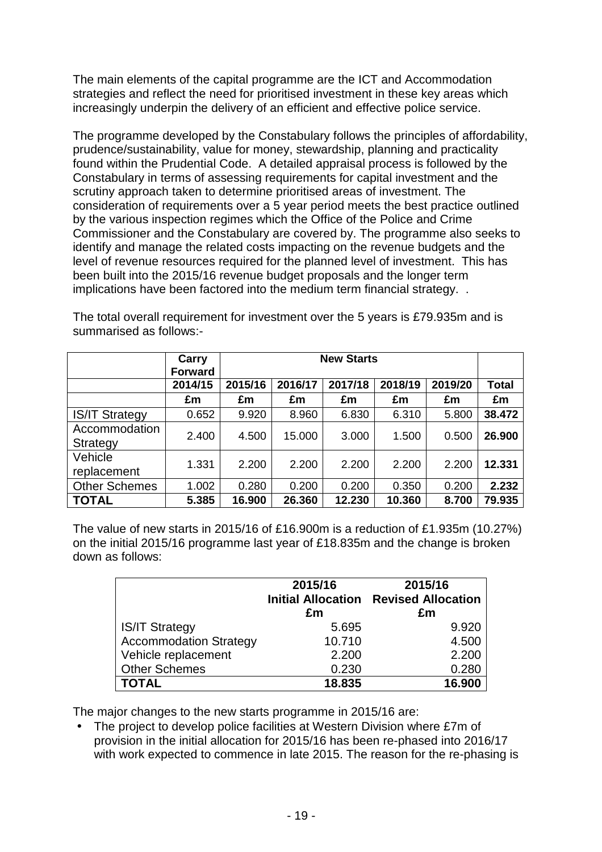The main elements of the capital programme are the ICT and Accommodation strategies and reflect the need for prioritised investment in these key areas which increasingly underpin the delivery of an efficient and effective police service.

The programme developed by the Constabulary follows the principles of affordability, prudence/sustainability, value for money, stewardship, planning and practicality found within the Prudential Code. A detailed appraisal process is followed by the Constabulary in terms of assessing requirements for capital investment and the scrutiny approach taken to determine prioritised areas of investment. The consideration of requirements over a 5 year period meets the best practice outlined by the various inspection regimes which the Office of the Police and Crime Commissioner and the Constabulary are covered by. The programme also seeks to identify and manage the related costs impacting on the revenue budgets and the level of revenue resources required for the planned level of investment. This has been built into the 2015/16 revenue budget proposals and the longer term implications have been factored into the medium term financial strategy. .

|                           | Carry<br><b>Forward</b> | <b>New Starts</b> |         |         |         |         |              |
|---------------------------|-------------------------|-------------------|---------|---------|---------|---------|--------------|
|                           | 2014/15                 | 2015/16           | 2016/17 | 2017/18 | 2018/19 | 2019/20 | <b>Total</b> |
|                           | £m                      | £m                | £m      | £m      | £m      | £m      | £m           |
| <b>IS/IT Strategy</b>     | 0.652                   | 9.920             | 8.960   | 6.830   | 6.310   | 5.800   | 38.472       |
| Accommodation<br>Strategy | 2.400                   | 4.500             | 15.000  | 3.000   | 1.500   | 0.500   | 26.900       |
| Vehicle<br>replacement    | 1.331                   | 2.200             | 2.200   | 2.200   | 2.200   | 2.200   | 12.331       |
| <b>Other Schemes</b>      | 1.002                   | 0.280             | 0.200   | 0.200   | 0.350   | 0.200   | 2.232        |
| <b>TOTAL</b>              | 5.385                   | 16.900            | 26.360  | 12.230  | 10.360  | 8.700   | 79.935       |

The total overall requirement for investment over the 5 years is £79.935m and is summarised as follows:-

The value of new starts in 2015/16 of £16.900m is a reduction of £1.935m (10.27%) on the initial 2015/16 programme last year of £18.835m and the change is broken down as follows:

|                               | 2015/16<br>£m | 2015/16<br><b>Initial Allocation Revised Allocation</b><br>£m |
|-------------------------------|---------------|---------------------------------------------------------------|
| <b>IS/IT Strategy</b>         | 5.695         | 9.920                                                         |
| <b>Accommodation Strategy</b> | 10.710        | 4.500                                                         |
| Vehicle replacement           | 2.200         | 2.200                                                         |
| <b>Other Schemes</b>          | 0.230         | 0.280                                                         |
| <b>TOTAL</b>                  | 18.835        | 16.900                                                        |

The major changes to the new starts programme in 2015/16 are:

• The project to develop police facilities at Western Division where £7m of provision in the initial allocation for 2015/16 has been re-phased into 2016/17 with work expected to commence in late 2015. The reason for the re-phasing is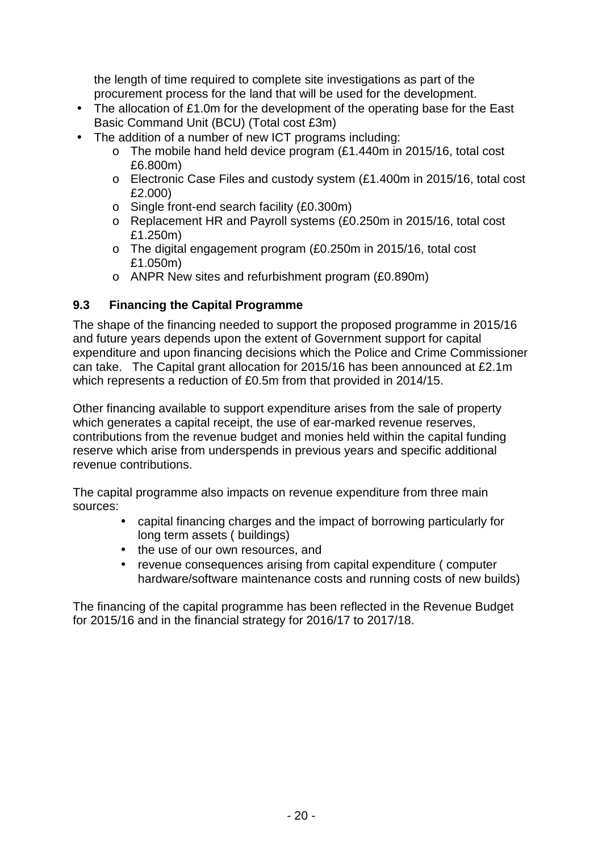the length of time required to complete site investigations as part of the procurement process for the land that will be used for the development.

- The allocation of £1.0m for the development of the operating base for the East Basic Command Unit (BCU) (Total cost £3m)
- The addition of a number of new ICT programs including:
	- o The mobile hand held device program (£1.440m in 2015/16, total cost £6.800m)
	- o Electronic Case Files and custody system (£1.400m in 2015/16, total cost £2.000)
	- o Single front-end search facility (£0.300m)
	- o Replacement HR and Payroll systems (£0.250m in 2015/16, total cost £1.250m)
	- o The digital engagement program (£0.250m in 2015/16, total cost £1.050m)
	- o ANPR New sites and refurbishment program (£0.890m)

#### **9.3 Financing the Capital Programme**

The shape of the financing needed to support the proposed programme in 2015/16 and future years depends upon the extent of Government support for capital expenditure and upon financing decisions which the Police and Crime Commissioner can take. The Capital grant allocation for 2015/16 has been announced at £2.1m which represents a reduction of £0.5m from that provided in 2014/15.

Other financing available to support expenditure arises from the sale of property which generates a capital receipt, the use of ear-marked revenue reserves, contributions from the revenue budget and monies held within the capital funding reserve which arise from underspends in previous years and specific additional revenue contributions.

The capital programme also impacts on revenue expenditure from three main sources:

- capital financing charges and the impact of borrowing particularly for long term assets ( buildings)
- the use of our own resources, and
- revenue consequences arising from capital expenditure ( computer hardware/software maintenance costs and running costs of new builds)

The financing of the capital programme has been reflected in the Revenue Budget for 2015/16 and in the financial strategy for 2016/17 to 2017/18.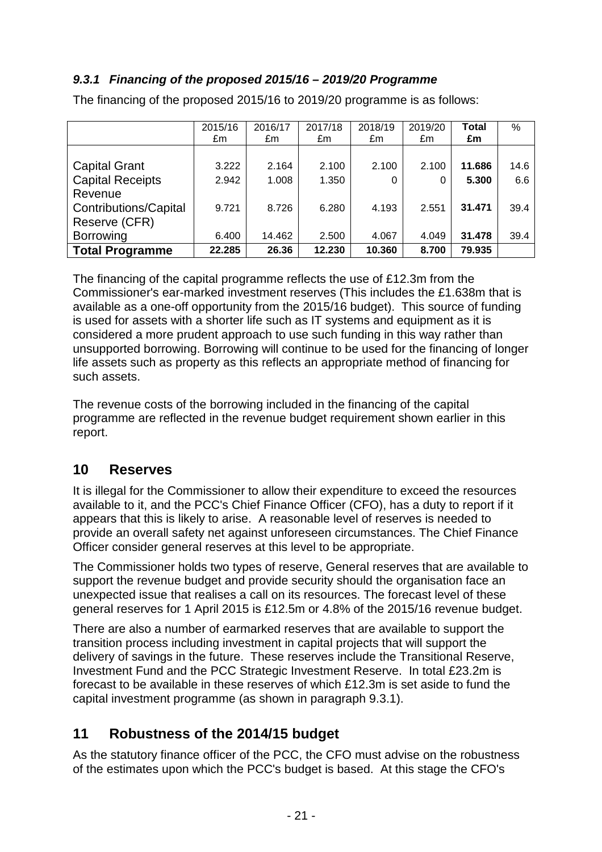## **9.3.1 Financing of the proposed 2015/16 – 2019/20 Programme**

|                              | 2015/16 | 2016/17 | 2017/18 | 2018/19 | 2019/20 | <b>Total</b> | %    |
|------------------------------|---------|---------|---------|---------|---------|--------------|------|
|                              | £m      | £m      | £m      | £m      | £m      | £m           |      |
|                              |         |         |         |         |         |              |      |
| <b>Capital Grant</b>         | 3.222   | 2.164   | 2.100   | 2.100   | 2.100   | 11.686       | 14.6 |
| <b>Capital Receipts</b>      | 2.942   | 1.008   | 1.350   | 0       | 0       | 5.300        | 6.6  |
| Revenue                      |         |         |         |         |         |              |      |
| <b>Contributions/Capital</b> | 9.721   | 8.726   | 6.280   | 4.193   | 2.551   | 31.471       | 39.4 |
| Reserve (CFR)                |         |         |         |         |         |              |      |
| <b>Borrowing</b>             | 6.400   | 14.462  | 2.500   | 4.067   | 4.049   | 31.478       | 39.4 |
| <b>Total Programme</b>       | 22.285  | 26.36   | 12.230  | 10.360  | 8.700   | 79.935       |      |

The financing of the proposed 2015/16 to 2019/20 programme is as follows:

The financing of the capital programme reflects the use of £12.3m from the Commissioner's ear-marked investment reserves (This includes the £1.638m that is available as a one-off opportunity from the 2015/16 budget). This source of funding is used for assets with a shorter life such as IT systems and equipment as it is considered a more prudent approach to use such funding in this way rather than unsupported borrowing. Borrowing will continue to be used for the financing of longer life assets such as property as this reflects an appropriate method of financing for such assets.

The revenue costs of the borrowing included in the financing of the capital programme are reflected in the revenue budget requirement shown earlier in this report.

## **10 Reserves**

It is illegal for the Commissioner to allow their expenditure to exceed the resources available to it, and the PCC's Chief Finance Officer (CFO), has a duty to report if it appears that this is likely to arise. A reasonable level of reserves is needed to provide an overall safety net against unforeseen circumstances. The Chief Finance Officer consider general reserves at this level to be appropriate.

The Commissioner holds two types of reserve, General reserves that are available to support the revenue budget and provide security should the organisation face an unexpected issue that realises a call on its resources. The forecast level of these general reserves for 1 April 2015 is £12.5m or 4.8% of the 2015/16 revenue budget.

There are also a number of earmarked reserves that are available to support the transition process including investment in capital projects that will support the delivery of savings in the future. These reserves include the Transitional Reserve, Investment Fund and the PCC Strategic Investment Reserve. In total £23.2m is forecast to be available in these reserves of which £12.3m is set aside to fund the capital investment programme (as shown in paragraph 9.3.1).

# **11 Robustness of the 2014/15 budget**

As the statutory finance officer of the PCC, the CFO must advise on the robustness of the estimates upon which the PCC's budget is based. At this stage the CFO's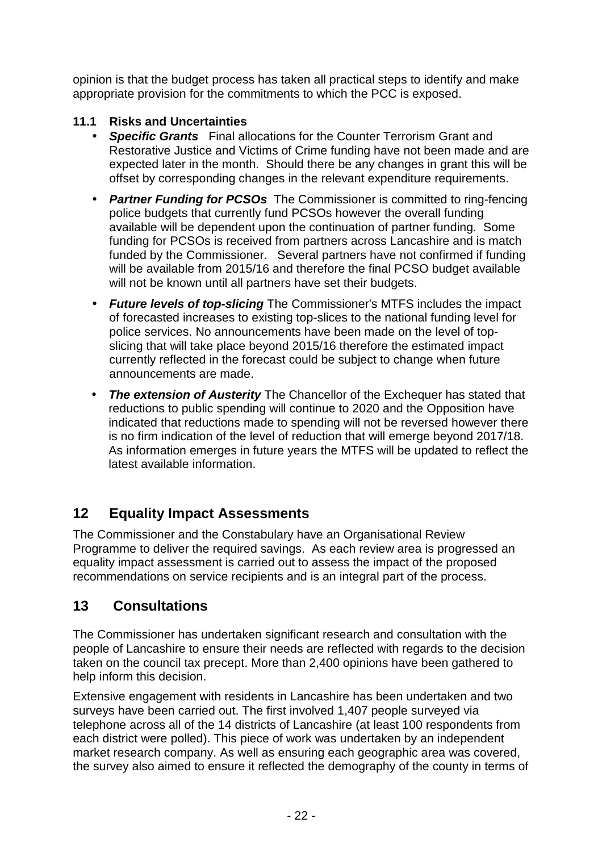opinion is that the budget process has taken all practical steps to identify and make appropriate provision for the commitments to which the PCC is exposed.

## **11.1 Risks and Uncertainties**

- **Specific Grants** Final allocations for the Counter Terrorism Grant and Restorative Justice and Victims of Crime funding have not been made and are expected later in the month. Should there be any changes in grant this will be offset by corresponding changes in the relevant expenditure requirements.
- **Partner Funding for PCSOs** The Commissioner is committed to ring-fencing police budgets that currently fund PCSOs however the overall funding available will be dependent upon the continuation of partner funding. Some funding for PCSOs is received from partners across Lancashire and is match funded by the Commissioner. Several partners have not confirmed if funding will be available from 2015/16 and therefore the final PCSO budget available will not be known until all partners have set their budgets.
- **Future levels of top-slicing** The Commissioner's MTFS includes the impact of forecasted increases to existing top-slices to the national funding level for police services. No announcements have been made on the level of topslicing that will take place beyond 2015/16 therefore the estimated impact currently reflected in the forecast could be subject to change when future announcements are made.
- **The extension of Austerity** The Chancellor of the Exchequer has stated that reductions to public spending will continue to 2020 and the Opposition have indicated that reductions made to spending will not be reversed however there is no firm indication of the level of reduction that will emerge beyond 2017/18. As information emerges in future years the MTFS will be updated to reflect the latest available information.

# **12 Equality Impact Assessments**

The Commissioner and the Constabulary have an Organisational Review Programme to deliver the required savings. As each review area is progressed an equality impact assessment is carried out to assess the impact of the proposed recommendations on service recipients and is an integral part of the process.

# **13 Consultations**

The Commissioner has undertaken significant research and consultation with the people of Lancashire to ensure their needs are reflected with regards to the decision taken on the council tax precept. More than 2,400 opinions have been gathered to help inform this decision.

Extensive engagement with residents in Lancashire has been undertaken and two surveys have been carried out. The first involved 1,407 people surveyed via telephone across all of the 14 districts of Lancashire (at least 100 respondents from each district were polled). This piece of work was undertaken by an independent market research company. As well as ensuring each geographic area was covered, the survey also aimed to ensure it reflected the demography of the county in terms of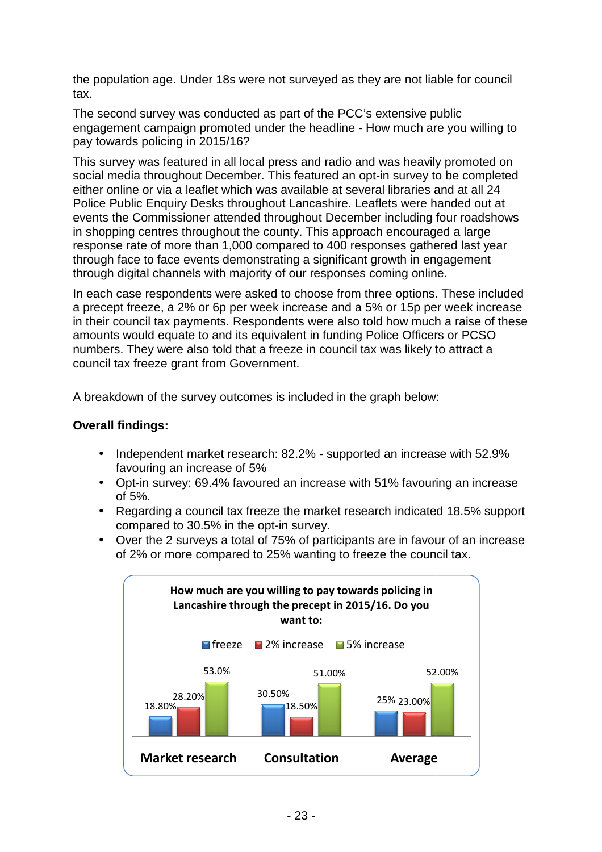the population age. Under 18s were not surveyed as they are not liable for council tax.

The second survey was conducted as part of the PCC's extensive public engagement campaign promoted under the headline - How much are you willing to pay towards policing in 2015/16 2015/16?

This survey was featured in all local press and radio and was heavily promoted on social media throughout December. This featured an opt-in survey to be completed either online or via a leaflet which was available at several libraries and at all 24 Police Public Enquiry Desks throughout Lancashire. Leaflets were handed out at events the Commissioner attended throughout December including four roadshows in shopping centres throughout the county. This approach encouraged a large response rate of more than 1,000 compared to 400 responses gathered last year through face to face events demonstrating a significant growth in engagement through digital channels with majority of our responses coming online.

In each case respondents were asked to choose from three options. These included a precept freeze, a 2% or 6p per week increase and a 5 5% or 15p per week increase in their council tax payments. Respondents were also told how much a raise of these a precept freeze, a 2% or 6p per week increase and a 5% or 15p per week incre<br>in their council tax payments. Respondents were also told how much a raise of t<br>amounts would equate to and its equivalent in funding Police Off numbers. They were also told that a freeze in council tax was likely to attract a council tax freeze grant from Government.

A breakdown of the survey outcomes is included in the graph below:

#### **Overall findings:**

- Independent market research: 82.2% supported an increase with 52.9% favouring an increase of 5%
- Opt-in survey: 69.4% favoured an increase with 51% favouring an increase of 5%. ras likely to attract a<br>ph below:<br>an increase with 52.9%<br>% favouring an increase<br>n indicated 18.5% support
- Regarding a council tax freeze the market research indicated 18.5% support compared to 30.5% in the opt-in survey.
- Over the 2 surveys a total of 75% of participants are in favour of an increase of 2% or more compared to 25% wanting to freeze the council tax.

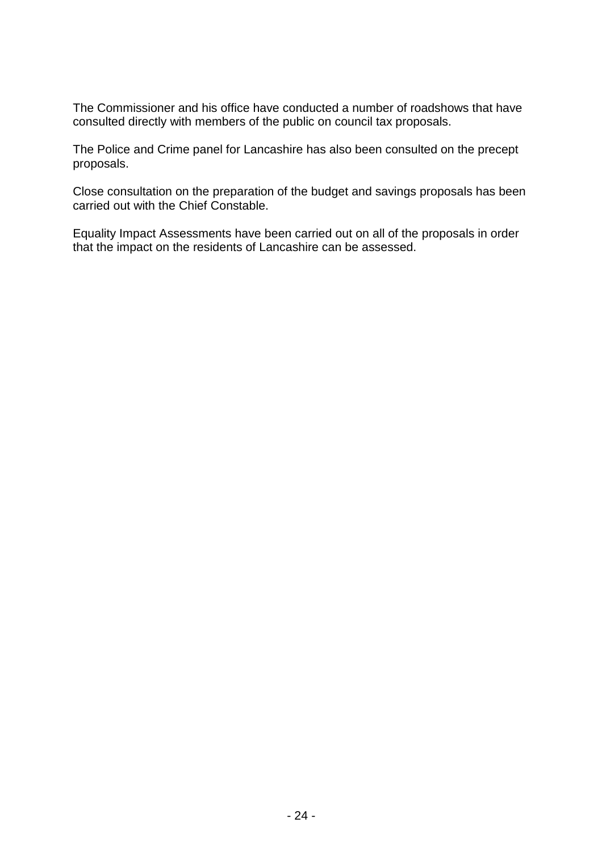The Commissioner and his office have conducted a number of roadshows that have consulted directly with members of the public on council tax proposals.

The Police and Crime panel for Lancashire has also been consulted on the precept proposals.

Close consultation on the preparation of the budget and savings proposals has been carried out with the Chief Constable.

Equality Impact Assessments have been carried out on all of the proposals in order that the impact on the residents of Lancashire can be assessed.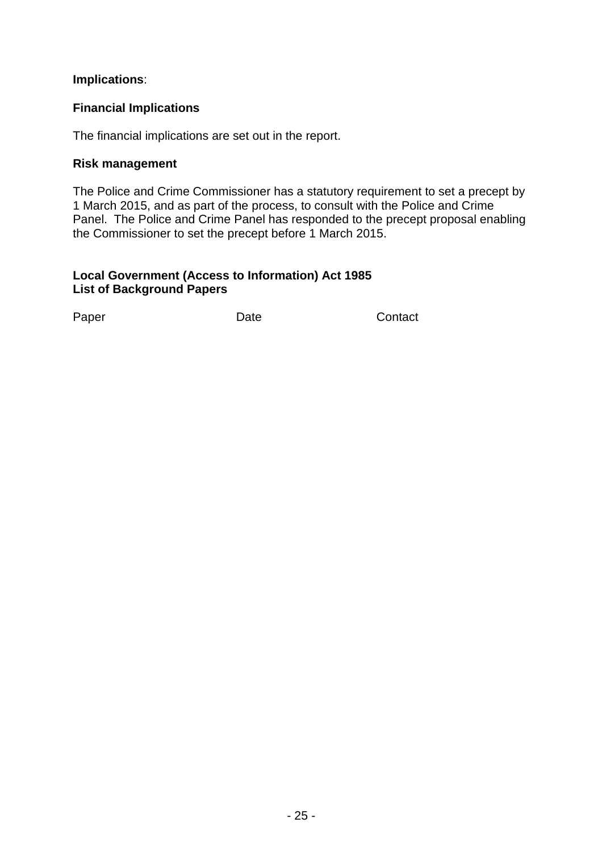#### **Implications**:

#### **Financial Implications**

The financial implications are set out in the report.

#### **Risk management**

The Police and Crime Commissioner has a statutory requirement to set a precept by 1 March 2015, and as part of the process, to consult with the Police and Crime Panel. The Police and Crime Panel has responded to the precept proposal enabling the Commissioner to set the precept before 1 March 2015.

#### **Local Government (Access to Information) Act 1985 List of Background Papers**

Paper Date Date Contact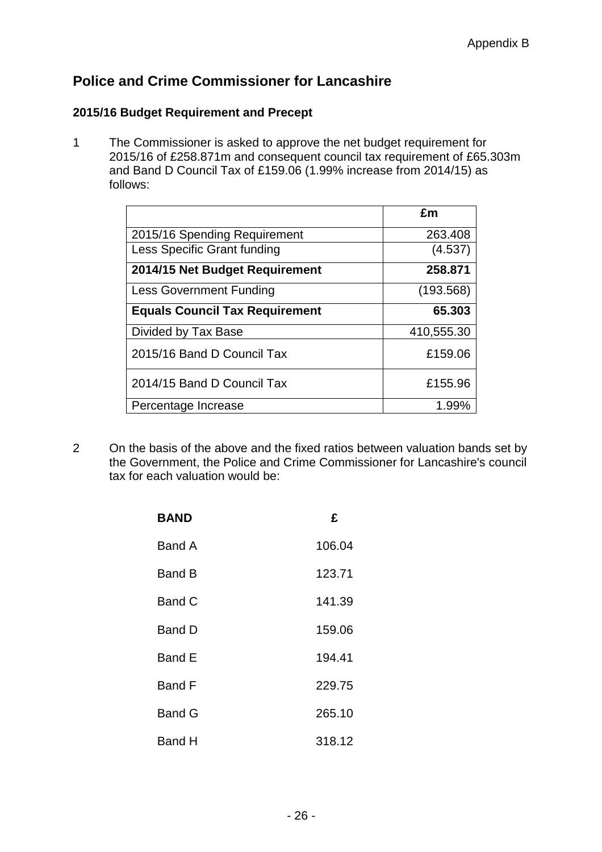# **Police and Crime Commissioner for Lancashire**

#### **2015/16 Budget Requirement and Precept**

1 The Commissioner is asked to approve the net budget requirement for 2015/16 of £258.871m and consequent council tax requirement of £65.303m and Band D Council Tax of £159.06 (1.99% increase from 2014/15) as follows:

|                                       | £m         |
|---------------------------------------|------------|
| 2015/16 Spending Requirement          | 263.408    |
| Less Specific Grant funding           | (4.537)    |
| 2014/15 Net Budget Requirement        | 258.871    |
| <b>Less Government Funding</b>        | (193.568)  |
| <b>Equals Council Tax Requirement</b> | 65.303     |
| Divided by Tax Base                   | 410,555.30 |
| 2015/16 Band D Council Tax            | £159.06    |
| 2014/15 Band D Council Tax            | £155.96    |
| Percentage Increase                   | 1.99%      |

2 On the basis of the above and the fixed ratios between valuation bands set by the Government, the Police and Crime Commissioner for Lancashire's council tax for each valuation would be:

| <b>BAND</b>   | £      |
|---------------|--------|
| Band A        | 106.04 |
| Band B        | 123.71 |
| Band C        | 141.39 |
| Band D        | 159.06 |
| Band E        | 194.41 |
| Band F        | 229.75 |
| <b>Band G</b> | 265.10 |
| Band H        | 318.12 |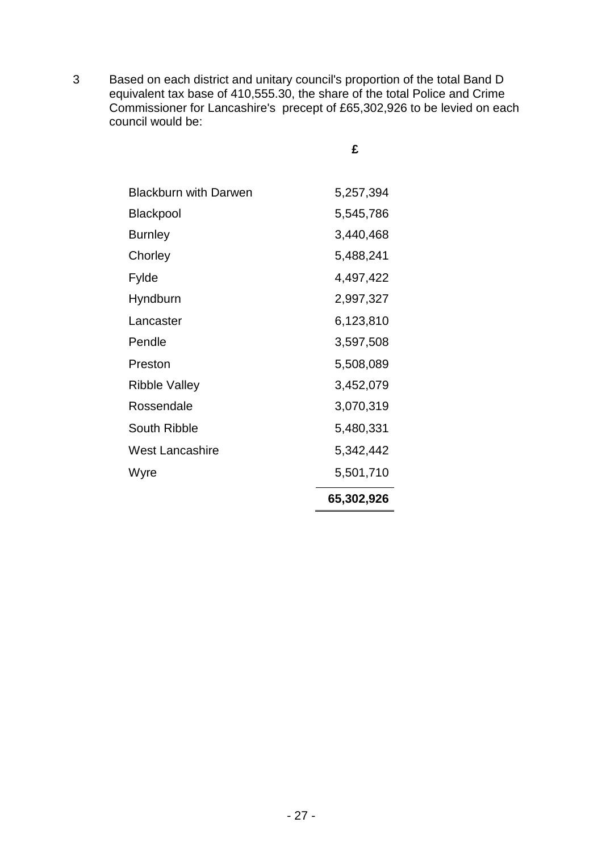3 Based on each district and unitary council's proportion of the total Band D equivalent tax base of 410,555.30, the share of the total Police and Crime Commissioner for Lancashire's precept of £65,302,926 to be levied on each council would be:

| ×,<br>۰. |
|----------|
| . .      |
|          |

|                              | 65,302,926 |
|------------------------------|------------|
| Wyre                         | 5,501,710  |
| West Lancashire              | 5,342,442  |
| South Ribble                 | 5,480,331  |
| Rossendale                   | 3,070,319  |
| Ribble Valley                | 3,452,079  |
| Preston                      | 5,508,089  |
| Pendle                       | 3,597,508  |
| Lancaster                    | 6,123,810  |
| Hyndburn                     | 2,997,327  |
| Fylde                        | 4,497,422  |
| Chorley                      | 5,488,241  |
| Burnley                      | 3,440,468  |
| Blackpool                    | 5,545,786  |
| <b>Blackburn with Darwen</b> | 5,257,394  |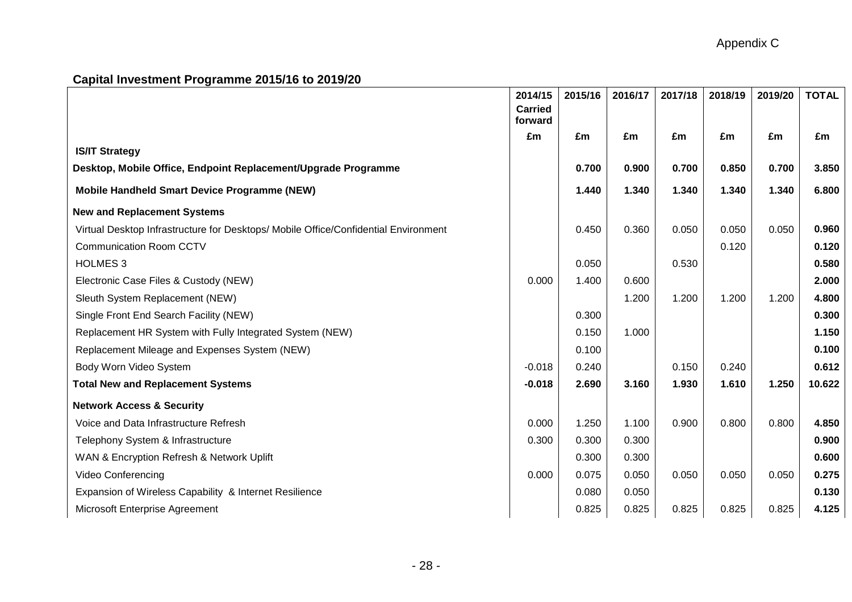# **Capital Investment Programme 2015/16 to 2019/20**

|                                                                                     | 2014/15<br><b>Carried</b><br>forward | 2015/16 | 2016/17 | 2017/18 | 2018/19 | 2019/20 | <b>TOTAL</b> |
|-------------------------------------------------------------------------------------|--------------------------------------|---------|---------|---------|---------|---------|--------------|
|                                                                                     | £m                                   | £m      | £m      | £m      | £m      | £m      | £m           |
| <b>IS/IT Strategy</b>                                                               |                                      |         |         |         |         |         |              |
| Desktop, Mobile Office, Endpoint Replacement/Upgrade Programme                      |                                      | 0.700   | 0.900   | 0.700   | 0.850   | 0.700   | 3.850        |
| Mobile Handheld Smart Device Programme (NEW)                                        |                                      | 1.440   | 1.340   | 1.340   | 1.340   | 1.340   | 6.800        |
| <b>New and Replacement Systems</b>                                                  |                                      |         |         |         |         |         |              |
| Virtual Desktop Infrastructure for Desktops/ Mobile Office/Confidential Environment |                                      | 0.450   | 0.360   | 0.050   | 0.050   | 0.050   | 0.960        |
| <b>Communication Room CCTV</b>                                                      |                                      |         |         |         | 0.120   |         | 0.120        |
| <b>HOLMES 3</b>                                                                     |                                      | 0.050   |         | 0.530   |         |         | 0.580        |
| Electronic Case Files & Custody (NEW)                                               | 0.000                                | 1.400   | 0.600   |         |         |         | 2.000        |
| Sleuth System Replacement (NEW)                                                     |                                      |         | 1.200   | 1.200   | 1.200   | 1.200   | 4.800        |
| Single Front End Search Facility (NEW)                                              |                                      | 0.300   |         |         |         |         | 0.300        |
| Replacement HR System with Fully Integrated System (NEW)                            |                                      | 0.150   | 1.000   |         |         |         | 1.150        |
| Replacement Mileage and Expenses System (NEW)                                       |                                      | 0.100   |         |         |         |         | 0.100        |
| Body Worn Video System                                                              | $-0.018$                             | 0.240   |         | 0.150   | 0.240   |         | 0.612        |
| <b>Total New and Replacement Systems</b>                                            | $-0.018$                             | 2.690   | 3.160   | 1.930   | 1.610   | 1.250   | 10.622       |
| <b>Network Access &amp; Security</b>                                                |                                      |         |         |         |         |         |              |
| Voice and Data Infrastructure Refresh                                               | 0.000                                | 1.250   | 1.100   | 0.900   | 0.800   | 0.800   | 4.850        |
| Telephony System & Infrastructure                                                   | 0.300                                | 0.300   | 0.300   |         |         |         | 0.900        |
| WAN & Encryption Refresh & Network Uplift                                           |                                      | 0.300   | 0.300   |         |         |         | 0.600        |
| Video Conferencing                                                                  | 0.000                                | 0.075   | 0.050   | 0.050   | 0.050   | 0.050   | 0.275        |
| Expansion of Wireless Capability & Internet Resilience                              |                                      | 0.080   | 0.050   |         |         |         | 0.130        |
| Microsoft Enterprise Agreement                                                      |                                      | 0.825   | 0.825   | 0.825   | 0.825   | 0.825   | 4.125        |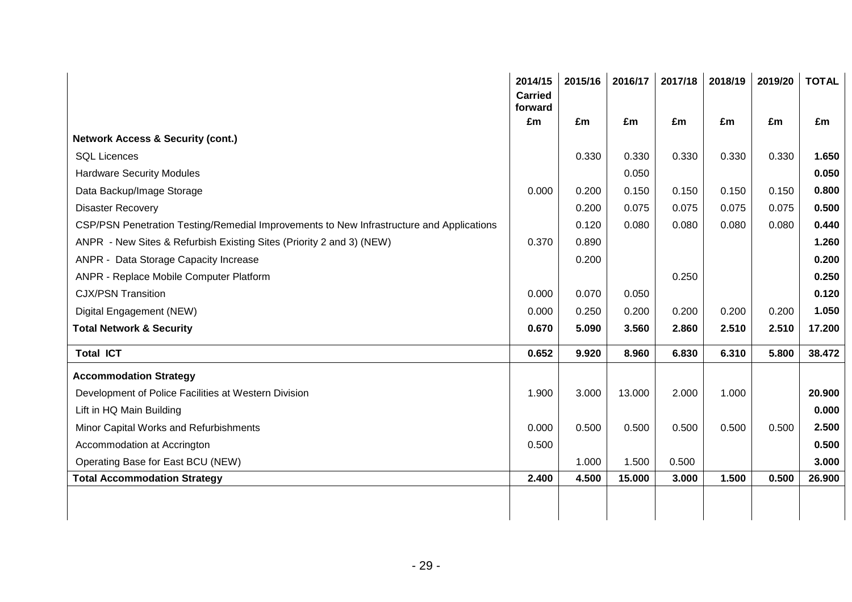| £m<br>0.330<br>0.200<br>0.200<br>0.120<br>0.890 | £m<br>0.330<br>0.050<br>0.150<br>0.075<br>0.080 | £m<br>0.330<br>0.150<br>0.075 | £m<br>0.330<br>0.150 | £m<br>0.330 | £m<br>1.650 |
|-------------------------------------------------|-------------------------------------------------|-------------------------------|----------------------|-------------|-------------|
|                                                 |                                                 |                               |                      |             |             |
|                                                 |                                                 |                               |                      |             |             |
|                                                 |                                                 |                               |                      |             |             |
|                                                 |                                                 |                               |                      |             | 0.050       |
|                                                 |                                                 |                               |                      | 0.150       | 0.800       |
|                                                 |                                                 |                               | 0.075                | 0.075       | 0.500       |
|                                                 |                                                 | 0.080                         | 0.080                | 0.080       | 0.440       |
|                                                 |                                                 |                               |                      |             | 1.260       |
| 0.200                                           |                                                 |                               |                      |             | 0.200       |
|                                                 |                                                 | 0.250                         |                      |             | 0.250       |
| 0.070                                           | 0.050                                           |                               |                      |             | 0.120       |
| 0.250                                           | 0.200                                           | 0.200                         | 0.200                | 0.200       | 1.050       |
| 5.090                                           | 3.560                                           | 2.860                         | 2.510                | 2.510       | 17.200      |
| 9.920                                           | 8.960                                           | 6.830                         | 6.310                | 5.800       | 38.472      |
|                                                 |                                                 |                               |                      |             |             |
| 3.000                                           | 13.000                                          | 2.000                         | 1.000                |             | 20.900      |
|                                                 |                                                 |                               |                      |             | 0.000       |
| 0.500                                           | 0.500                                           | 0.500                         | 0.500                | 0.500       | 2.500       |
|                                                 |                                                 |                               |                      |             | 0.500       |
| 1.000                                           | 1.500                                           | 0.500                         |                      |             | 3.000       |
|                                                 | 15.000                                          | 3.000                         | 1.500                | 0.500       | 26.900      |
|                                                 | 4.500                                           |                               |                      |             |             |